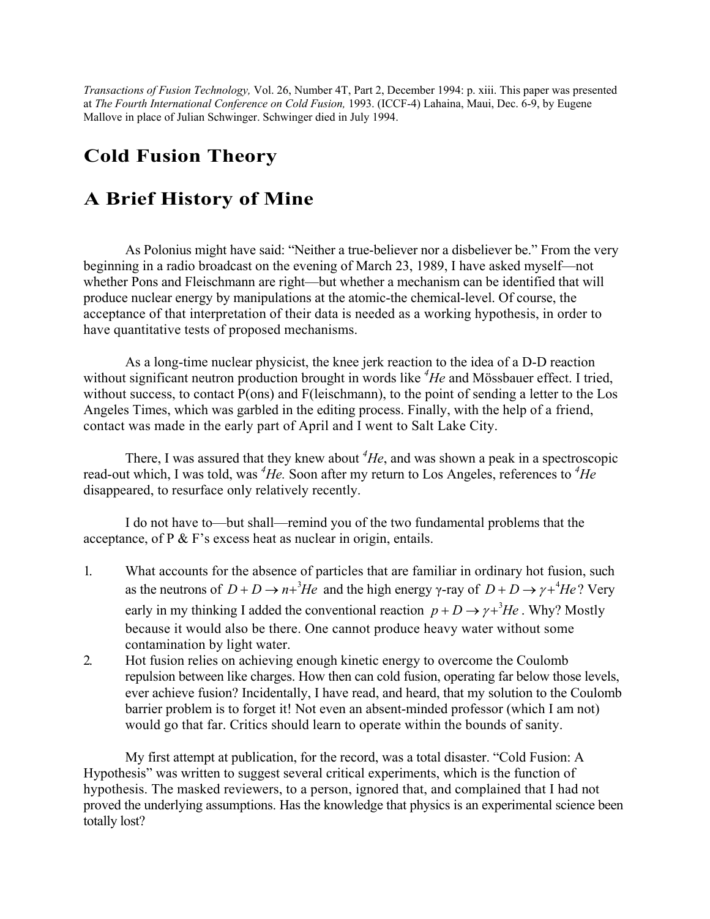*Transactions of Fusion Technology,* Vol. 26, Number 4T, Part 2, December 1994: p. xiii. This paper was presented at *The Fourth International Conference on Cold Fusion,* 1993. (ICCF-4) Lahaina, Maui, Dec. 6-9, by Eugene Mallove in place of Julian Schwinger. Schwinger died in July 1994.

## **Cold Fusion Theory**

## **A Brief History of Mine**

As Polonius might have said: "Neither a true-believer nor a disbeliever be." From the very beginning in a radio broadcast on the evening of March 23, 1989, I have asked myself—not whether Pons and Fleischmann are right—but whether a mechanism can be identified that will produce nuclear energy by manipulations at the atomic-the chemical-level. Of course, the acceptance of that interpretation of their data is needed as a working hypothesis, in order to have quantitative tests of proposed mechanisms.

As a long-time nuclear physicist, the knee jerk reaction to the idea of a D-D reaction without significant neutron production brought in words like *<sup>4</sup> He* and Mössbauer effect. I tried, without success, to contact P(ons) and F(leischmann), to the point of sending a letter to the Los Angeles Times, which was garbled in the editing process. Finally, with the help of a friend, contact was made in the early part of April and I went to Salt Lake City.

There, I was assured that they knew about  $^4$ *He*, and was shown a peak in a spectroscopic read-out which, I was told, was <sup>4</sup>He. Soon after my return to Los Angeles, references to <sup>4</sup>He disappeared, to resurface only relatively recently.

I do not have to—but shall—remind you of the two fundamental problems that the acceptance, of P & F's excess heat as nuclear in origin, entails.

- 1. What accounts for the absence of particles that are familiar in ordinary hot fusion, such as the neutrons of  $D + D \rightarrow n + {}^{3}He$  and the high energy γ-ray of  $D + D \rightarrow \gamma + {}^{4}He$ ? Very early in my thinking I added the conventional reaction  $p + D \rightarrow \gamma + {}^{3}He$ . Why? Mostly because it would also be there. One cannot produce heavy water without some contamination by light water.
- 2. Hot fusion relies on achieving enough kinetic energy to overcome the Coulomb repulsion between like charges. How then can cold fusion, operating far below those levels, ever achieve fusion? Incidentally, I have read, and heard, that my solution to the Coulomb barrier problem is to forget it! Not even an absent-minded professor (which I am not) would go that far. Critics should learn to operate within the bounds of sanity.

My first attempt at publication, for the record, was a total disaster. "Cold Fusion: A Hypothesis" was written to suggest several critical experiments, which is the function of hypothesis. The masked reviewers, to a person, ignored that, and complained that I had not proved the underlying assumptions. Has the knowledge that physics is an experimental science been totally lost?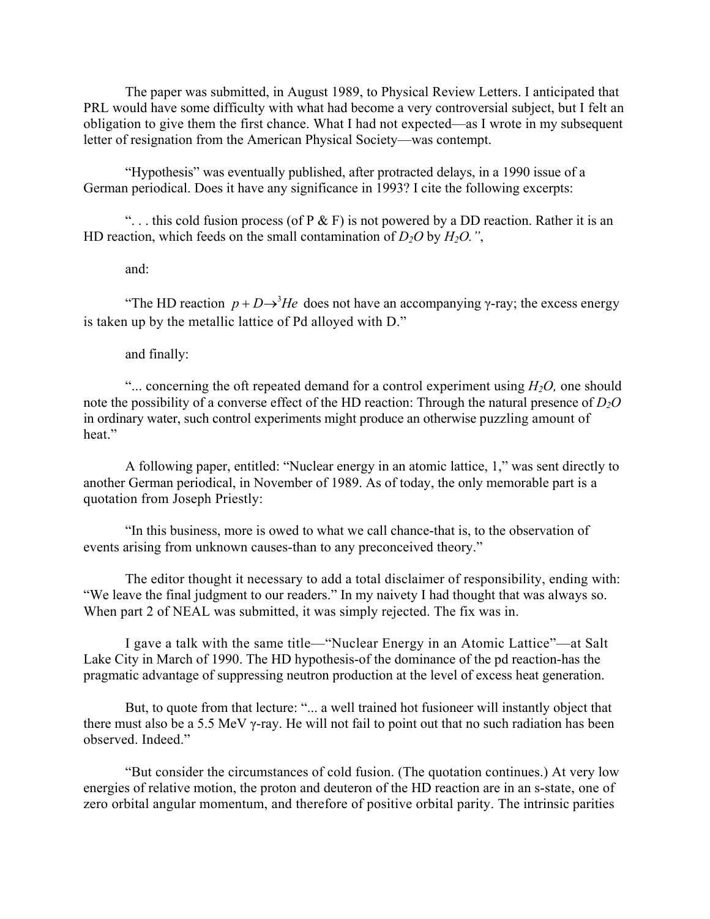The paper was submitted, in August 1989, to Physical Review Letters. I anticipated that PRL would have some difficulty with what had become a very controversial subject, but I felt an obligation to give them the first chance. What I had not expected—as I wrote in my subsequent letter of resignation from the American Physical Society—was contempt.

"Hypothesis" was eventually published, after protracted delays, in a 1990 issue of a German periodical. Does it have any significance in 1993? I cite the following excerpts:

"... this cold fusion process (of P  $\&$  F) is not powered by a DD reaction. Rather it is an HD reaction, which feeds on the small contamination of  $D_2O$  by  $H_2O$ .",

and:

*The HD reaction*  $p + D \rightarrow$ *<sup>3</sup>He does not have an accompanying γ-ray; the excess energy* is taken up by the metallic lattice of Pd alloyed with D."

and finally:

"... concerning the oft repeated demand for a control experiment using  $H_2O$ , one should note the possibility of a converse effect of the HD reaction: Through the natural presence of  $D_2O$ in ordinary water, such control experiments might produce an otherwise puzzling amount of heat."

A following paper, entitled: "Nuclear energy in an atomic lattice, 1," was sent directly to another German periodical, in November of 1989. As of today, the only memorable part is a quotation from Joseph Priestly:

"In this business, more is owed to what we call chance-that is, to the observation of events arising from unknown causes-than to any preconceived theory."

The editor thought it necessary to add a total disclaimer of responsibility, ending with: "We leave the final judgment to our readers." In my naivety I had thought that was always so. When part 2 of NEAL was submitted, it was simply rejected. The fix was in.

I gave a talk with the same title—"Nuclear Energy in an Atomic Lattice"—at Salt Lake City in March of 1990. The HD hypothesis-of the dominance of the pd reaction-has the pragmatic advantage of suppressing neutron production at the level of excess heat generation.

But, to quote from that lecture: "... a well trained hot fusioneer will instantly object that there must also be a 5.5 MeV  $\gamma$ -ray. He will not fail to point out that no such radiation has been observed. Indeed."

"But consider the circumstances of cold fusion. (The quotation continues.) At very low energies of relative motion, the proton and deuteron of the HD reaction are in an s-state, one of zero orbital angular momentum, and therefore of positive orbital parity. The intrinsic parities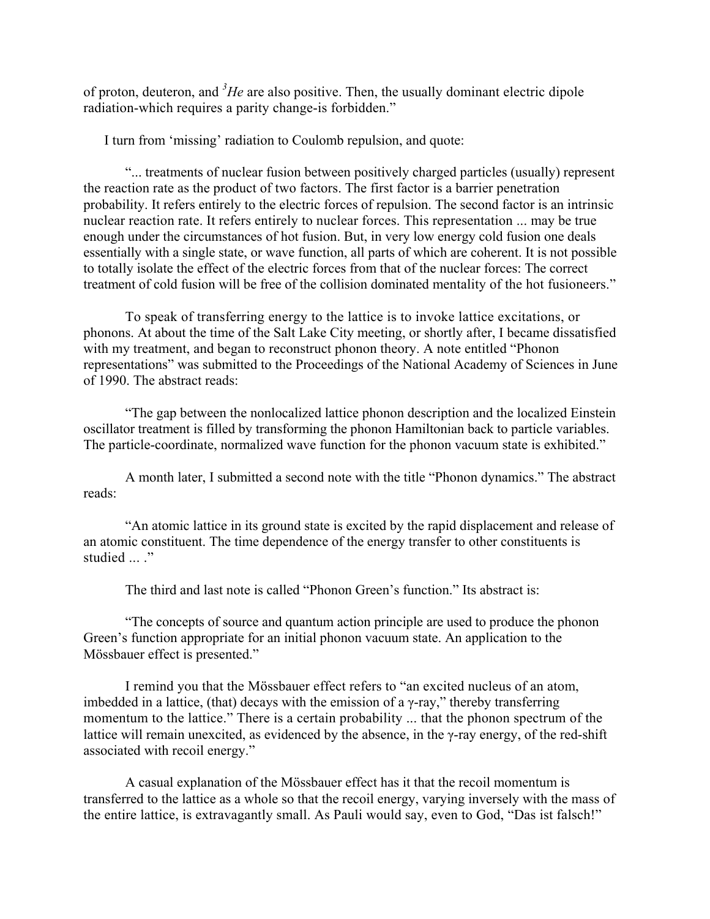of proton, deuteron, and *<sup>3</sup> He* are also positive. Then, the usually dominant electric dipole radiation-which requires a parity change-is forbidden."

I turn from 'missing' radiation to Coulomb repulsion, and quote:

"... treatments of nuclear fusion between positively charged particles (usually) represent the reaction rate as the product of two factors. The first factor is a barrier penetration probability. It refers entirely to the electric forces of repulsion. The second factor is an intrinsic nuclear reaction rate. It refers entirely to nuclear forces. This representation ... may be true enough under the circumstances of hot fusion. But, in very low energy cold fusion one deals essentially with a single state, or wave function, all parts of which are coherent. It is not possible to totally isolate the effect of the electric forces from that of the nuclear forces: The correct treatment of cold fusion will be free of the collision dominated mentality of the hot fusioneers."

To speak of transferring energy to the lattice is to invoke lattice excitations, or phonons. At about the time of the Salt Lake City meeting, or shortly after, I became dissatisfied with my treatment, and began to reconstruct phonon theory. A note entitled "Phonon" representations" was submitted to the Proceedings of the National Academy of Sciences in June of 1990. The abstract reads:

"The gap between the nonlocalized lattice phonon description and the localized Einstein oscillator treatment is filled by transforming the phonon Hamiltonian back to particle variables. The particle-coordinate, normalized wave function for the phonon vacuum state is exhibited."

A month later, I submitted a second note with the title "Phonon dynamics." The abstract reads:

"An atomic lattice in its ground state is excited by the rapid displacement and release of an atomic constituent. The time dependence of the energy transfer to other constituents is studied ... ."

The third and last note is called "Phonon Green's function." Its abstract is:

"The concepts of source and quantum action principle are used to produce the phonon Green's function appropriate for an initial phonon vacuum state. An application to the Mössbauer effect is presented."

I remind you that the Mössbauer effect refers to "an excited nucleus of an atom, imbedded in a lattice, (that) decays with the emission of a  $\gamma$ -ray," thereby transferring momentum to the lattice." There is a certain probability ... that the phonon spectrum of the lattice will remain unexcited, as evidenced by the absence, in the γ-ray energy, of the red-shift associated with recoil energy."

A casual explanation of the Mössbauer effect has it that the recoil momentum is transferred to the lattice as a whole so that the recoil energy, varying inversely with the mass of the entire lattice, is extravagantly small. As Pauli would say, even to God, "Das ist falsch!"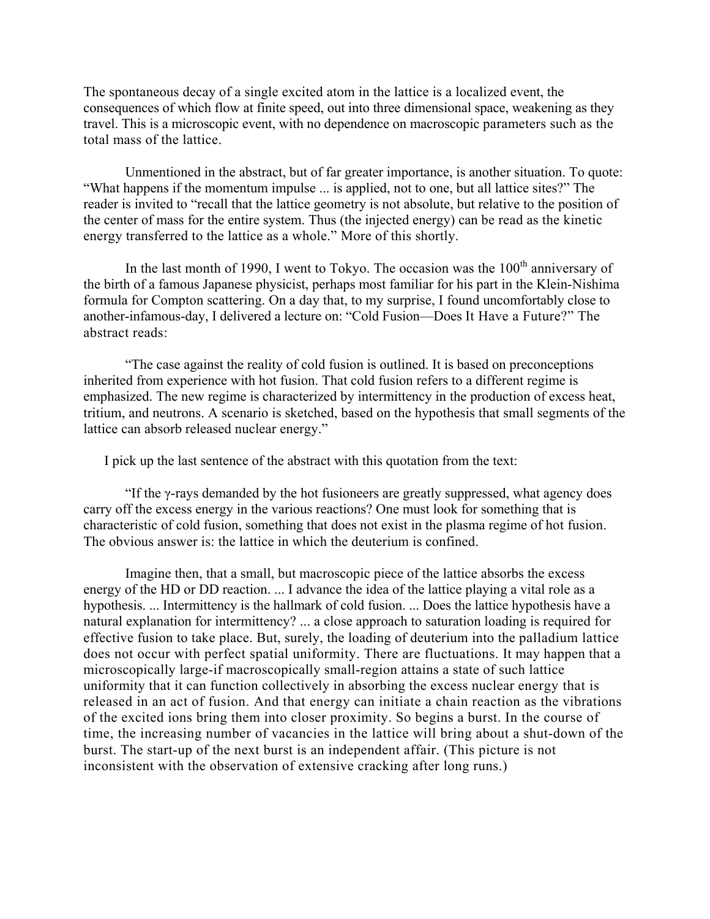The spontaneous decay of a single excited atom in the lattice is a localized event, the consequences of which flow at finite speed, out into three dimensional space, weakening as they travel. This is a microscopic event, with no dependence on macroscopic parameters such as the total mass of the lattice.

Unmentioned in the abstract, but of far greater importance, is another situation. To quote: "What happens if the momentum impulse ... is applied, not to one, but all lattice sites?" The reader is invited to "recall that the lattice geometry is not absolute, but relative to the position of the center of mass for the entire system. Thus (the injected energy) can be read as the kinetic energy transferred to the lattice as a whole." More of this shortly.

In the last month of 1990, I went to Tokyo. The occasion was the  $100<sup>th</sup>$  anniversary of the birth of a famous Japanese physicist, perhaps most familiar for his part in the Klein-Nishima formula for Compton scattering. On a day that, to my surprise, I found uncomfortably close to another-infamous-day, I delivered a lecture on: "Cold Fusion—Does It Have a Future?" The abstract reads:

"The case against the reality of cold fusion is outlined. It is based on preconceptions inherited from experience with hot fusion. That cold fusion refers to a different regime is emphasized. The new regime is characterized by intermittency in the production of excess heat, tritium, and neutrons. A scenario is sketched, based on the hypothesis that small segments of the lattice can absorb released nuclear energy."

I pick up the last sentence of the abstract with this quotation from the text:

"If the γ-rays demanded by the hot fusioneers are greatly suppressed, what agency does carry off the excess energy in the various reactions? One must look for something that is characteristic of cold fusion, something that does not exist in the plasma regime of hot fusion. The obvious answer is: the lattice in which the deuterium is confined.

Imagine then, that a small, but macroscopic piece of the lattice absorbs the excess energy of the HD or DD reaction. ... I advance the idea of the lattice playing a vital role as a hypothesis. ... Intermittency is the hallmark of cold fusion. ... Does the lattice hypothesis have a natural explanation for intermittency? ... a close approach to saturation loading is required for effective fusion to take place. But, surely, the loading of deuterium into the palladium lattice does not occur with perfect spatial uniformity. There are fluctuations. It may happen that a microscopically large-if macroscopically small-region attains a state of such lattice uniformity that it can function collectively in absorbing the excess nuclear energy that is released in an act of fusion. And that energy can initiate a chain reaction as the vibrations of the excited ions bring them into closer proximity. So begins a burst. In the course of time, the increasing number of vacancies in the lattice will bring about a shut-down of the burst. The start-up of the next burst is an independent affair. (This picture is not inconsistent with the observation of extensive cracking after long runs.)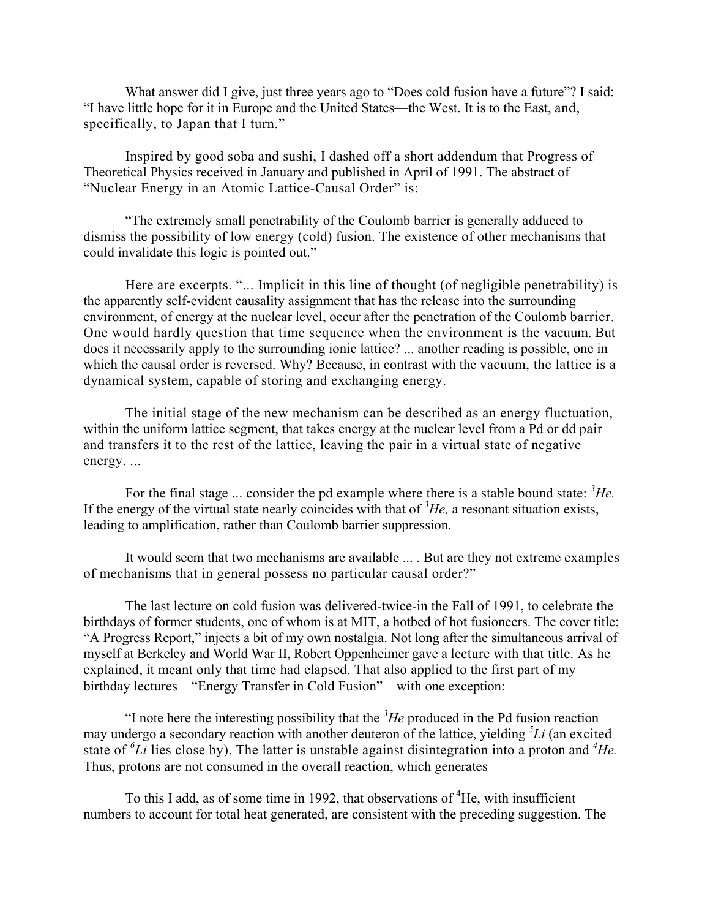What answer did I give, just three years ago to "Does cold fusion have a future"? I said: "I have little hope for it in Europe and the United States—the West. It is to the East, and, specifically, to Japan that I turn."

Inspired by good soba and sushi, I dashed off a short addendum that Progress of Theoretical Physics received in January and published in April of 1991. The abstract of "Nuclear Energy in an Atomic Lattice-Causal Order" is:

"The extremely small penetrability of the Coulomb barrier is generally adduced to dismiss the possibility of low energy (cold) fusion. The existence of other mechanisms that could invalidate this logic is pointed out."

Here are excerpts. "... Implicit in this line of thought (of negligible penetrability) is the apparently self-evident causality assignment that has the release into the surrounding environment, of energy at the nuclear level, occur after the penetration of the Coulomb barrier. One would hardly question that time sequence when the environment is the vacuum. But does it necessarily apply to the surrounding ionic lattice? ... another reading is possible, one in which the causal order is reversed. Why? Because, in contrast with the vacuum, the lattice is a dynamical system, capable of storing and exchanging energy.

The initial stage of the new mechanism can be described as an energy fluctuation, within the uniform lattice segment, that takes energy at the nuclear level from a Pd or dd pair and transfers it to the rest of the lattice, leaving the pair in a virtual state of negative energy. ...

For the final stage ... consider the pd example where there is a stable bound state: <sup>3</sup>He. If the energy of the virtual state nearly coincides with that of  ${}^{3}He$ , a resonant situation exists, leading to amplification, rather than Coulomb barrier suppression.

It would seem that two mechanisms are available ... . But are they not extreme examples of mechanisms that in general possess no particular causal order?"

The last lecture on cold fusion was delivered-twice-in the Fall of 1991, to celebrate the birthdays of former students, one of whom is at MIT, a hotbed of hot fusioneers. The cover title: "A Progress Report," injects a bit of my own nostalgia. Not long after the simultaneous arrival of myself at Berkeley and World War II, Robert Oppenheimer gave a lecture with that title. As he explained, it meant only that time had elapsed. That also applied to the first part of my birthday lectures—"Energy Transfer in Cold Fusion"—with one exception:

"I note here the interesting possibility that the  ${}^{3}He$  produced in the Pd fusion reaction may undergo a secondary reaction with another deuteron of the lattice, yielding *<sup>5</sup> Li* (an excited state of  ${}^6Li$  lies close by). The latter is unstable against disintegration into a proton and  ${}^4He$ . Thus, protons are not consumed in the overall reaction, which generates

To this I add, as of some time in 1992, that observations of <sup>4</sup>He, with insufficient numbers to account for total heat generated, are consistent with the preceding suggestion. The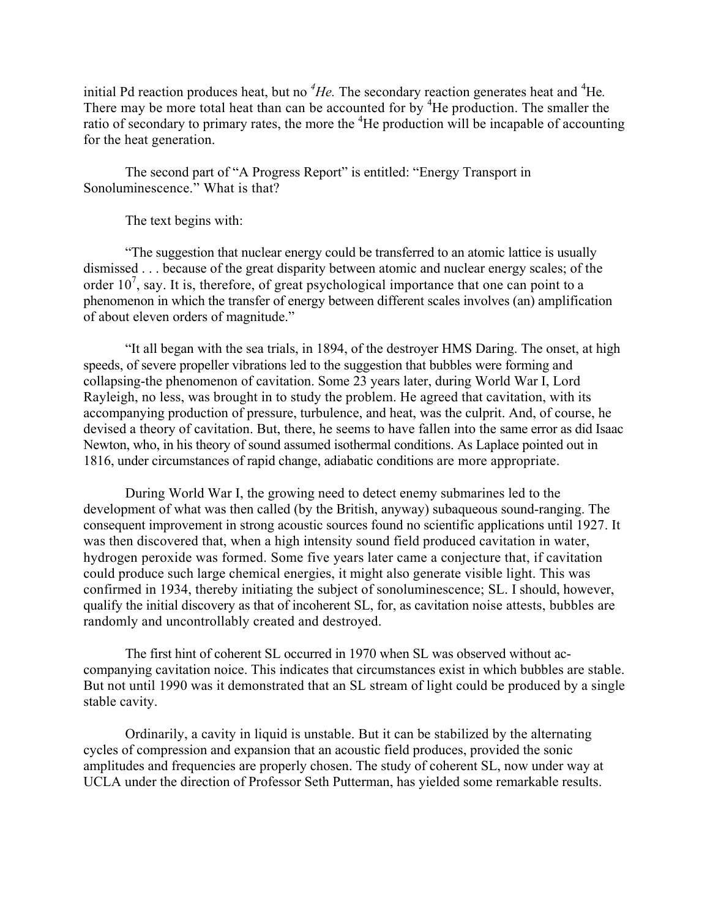initial Pd reaction produces heat, but no <sup>4</sup>He. The secondary reaction generates heat and <sup>4</sup>He. There may be more total heat than can be accounted for by <sup>4</sup>He production. The smaller the ratio of secondary to primary rates, the more the <sup>4</sup>He production will be incapable of accounting for the heat generation.

The second part of "A Progress Report" is entitled: "Energy Transport in Sonoluminescence." What is that?

The text begins with:

"The suggestion that nuclear energy could be transferred to an atomic lattice is usually dismissed . . . because of the great disparity between atomic and nuclear energy scales; of the order  $10^7$ , say. It is, therefore, of great psychological importance that one can point to a phenomenon in which the transfer of energy between different scales involves (an) amplification of about eleven orders of magnitude."

"It all began with the sea trials, in 1894, of the destroyer HMS Daring. The onset, at high speeds, of severe propeller vibrations led to the suggestion that bubbles were forming and collapsing-the phenomenon of cavitation. Some 23 years later, during World War I, Lord Rayleigh, no less, was brought in to study the problem. He agreed that cavitation, with its accompanying production of pressure, turbulence, and heat, was the culprit. And, of course, he devised a theory of cavitation. But, there, he seems to have fallen into the same error as did Isaac Newton, who, in his theory of sound assumed isothermal conditions. As Laplace pointed out in 1816, under circumstances of rapid change, adiabatic conditions are more appropriate.

During World War I, the growing need to detect enemy submarines led to the development of what was then called (by the British, anyway) subaqueous sound-ranging. The consequent improvement in strong acoustic sources found no scientific applications until 1927. It was then discovered that, when a high intensity sound field produced cavitation in water, hydrogen peroxide was formed. Some five years later came a conjecture that, if cavitation could produce such large chemical energies, it might also generate visible light. This was confirmed in 1934, thereby initiating the subject of sonoluminescence; SL. I should, however, qualify the initial discovery as that of incoherent SL, for, as cavitation noise attests, bubbles are randomly and uncontrollably created and destroyed.

The first hint of coherent SL occurred in 1970 when SL was observed without accompanying cavitation noice. This indicates that circumstances exist in which bubbles are stable. But not until 1990 was it demonstrated that an SL stream of light could be produced by a single stable cavity.

Ordinarily, a cavity in liquid is unstable. But it can be stabilized by the alternating cycles of compression and expansion that an acoustic field produces, provided the sonic amplitudes and frequencies are properly chosen. The study of coherent SL, now under way at UCLA under the direction of Professor Seth Putterman, has yielded some remarkable results.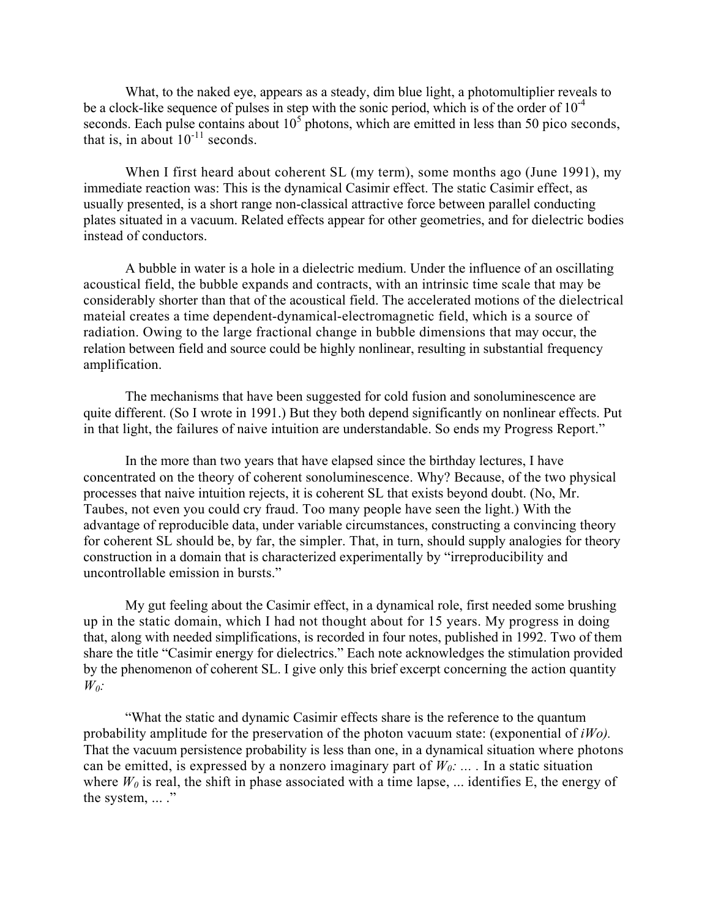What, to the naked eye, appears as a steady, dim blue light, a photomultiplier reveals to be a clock-like sequence of pulses in step with the sonic period, which is of the order of  $10^{-4}$ seconds. Each pulse contains about  $10<sup>5</sup>$  photons, which are emitted in less than 50 pico seconds, that is, in about  $10^{-11}$  seconds.

When I first heard about coherent SL (my term), some months ago (June 1991), my immediate reaction was: This is the dynamical Casimir effect. The static Casimir effect, as usually presented, is a short range non-classical attractive force between parallel conducting plates situated in a vacuum. Related effects appear for other geometries, and for dielectric bodies instead of conductors.

A bubble in water is a hole in a dielectric medium. Under the influence of an oscillating acoustical field, the bubble expands and contracts, with an intrinsic time scale that may be considerably shorter than that of the acoustical field. The accelerated motions of the dielectrical mateial creates a time dependent-dynamical-electromagnetic field, which is a source of radiation. Owing to the large fractional change in bubble dimensions that may occur, the relation between field and source could be highly nonlinear, resulting in substantial frequency amplification.

The mechanisms that have been suggested for cold fusion and sonoluminescence are quite different. (So I wrote in 1991.) But they both depend significantly on nonlinear effects. Put in that light, the failures of naive intuition are understandable. So ends my Progress Report."

In the more than two years that have elapsed since the birthday lectures, I have concentrated on the theory of coherent sonoluminescence. Why? Because, of the two physical processes that naive intuition rejects, it is coherent SL that exists beyond doubt. (No, Mr. Taubes, not even you could cry fraud. Too many people have seen the light.) With the advantage of reproducible data, under variable circumstances, constructing a convincing theory for coherent SL should be, by far, the simpler. That, in turn, should supply analogies for theory construction in a domain that is characterized experimentally by "irreproducibility and uncontrollable emission in bursts."

My gut feeling about the Casimir effect, in a dynamical role, first needed some brushing up in the static domain, which I had not thought about for 15 years. My progress in doing that, along with needed simplifications, is recorded in four notes, published in 1992. Two of them share the title "Casimir energy for dielectrics." Each note acknowledges the stimulation provided by the phenomenon of coherent SL. I give only this brief excerpt concerning the action quantity *W*<sub>0</sub>*:* 

"What the static and dynamic Casimir effects share is the reference to the quantum probability amplitude for the preservation of the photon vacuum state: (exponential of *iWo).*  That the vacuum persistence probability is less than one, in a dynamical situation where photons can be emitted, is expressed by a nonzero imaginary part of  $W_0$ : ... . In a static situation where  $W_0$  is real, the shift in phase associated with a time lapse, ... identifies E, the energy of the system, ... ."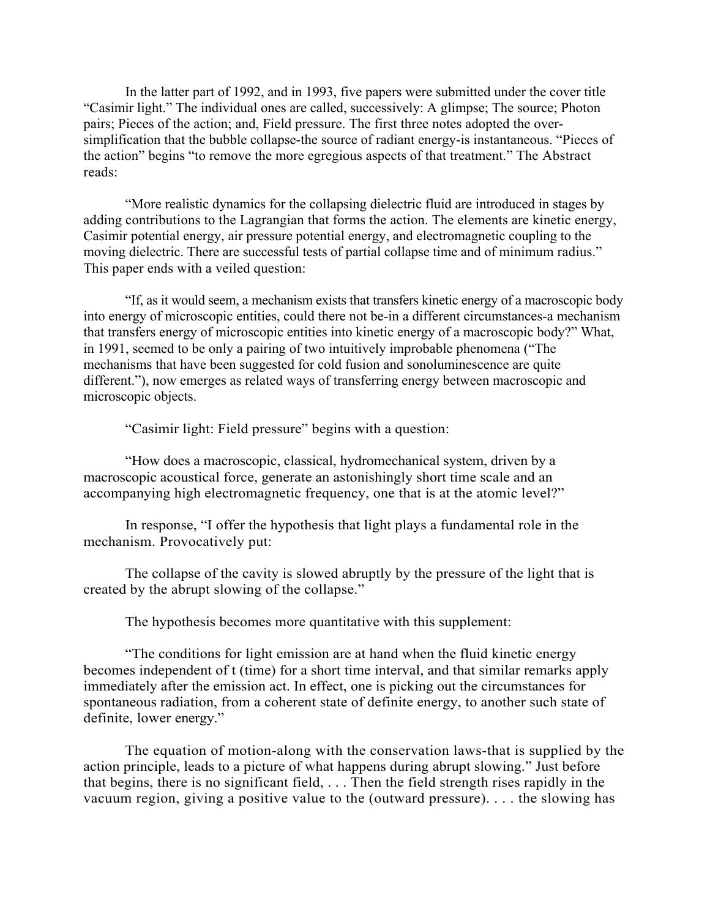In the latter part of 1992, and in 1993, five papers were submitted under the cover title "Casimir light." The individual ones are called, successively: A glimpse; The source; Photon pairs; Pieces of the action; and, Field pressure. The first three notes adopted the oversimplification that the bubble collapse-the source of radiant energy-is instantaneous. "Pieces of the action" begins "to remove the more egregious aspects of that treatment." The Abstract reads:

"More realistic dynamics for the collapsing dielectric fluid are introduced in stages by adding contributions to the Lagrangian that forms the action. The elements are kinetic energy, Casimir potential energy, air pressure potential energy, and electromagnetic coupling to the moving dielectric. There are successful tests of partial collapse time and of minimum radius." This paper ends with a veiled question:

"If, as it would seem, a mechanism exists that transfers kinetic energy of a macroscopic body into energy of microscopic entities, could there not be-in a different circumstances-a mechanism that transfers energy of microscopic entities into kinetic energy of a macroscopic body?" What, in 1991, seemed to be only a pairing of two intuitively improbable phenomena ("The mechanisms that have been suggested for cold fusion and sonoluminescence are quite different."), now emerges as related ways of transferring energy between macroscopic and microscopic objects.

"Casimir light: Field pressure" begins with a question:

"How does a macroscopic, classical, hydromechanical system, driven by a macroscopic acoustical force, generate an astonishingly short time scale and an accompanying high electromagnetic frequency, one that is at the atomic level?"

In response, "I offer the hypothesis that light plays a fundamental role in the mechanism. Provocatively put:

The collapse of the cavity is slowed abruptly by the pressure of the light that is created by the abrupt slowing of the collapse."

The hypothesis becomes more quantitative with this supplement:

"The conditions for light emission are at hand when the fluid kinetic energy becomes independent of t (time) for a short time interval, and that similar remarks apply immediately after the emission act. In effect, one is picking out the circumstances for spontaneous radiation, from a coherent state of definite energy, to another such state of definite, lower energy."

The equation of motion-along with the conservation laws-that is supplied by the action principle, leads to a picture of what happens during abrupt slowing." Just before that begins, there is no significant field, . . . Then the field strength rises rapidly in the vacuum region, giving a positive value to the (outward pressure). . . . the slowing has